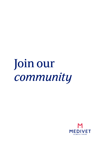# Join our *community*

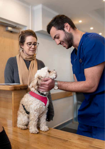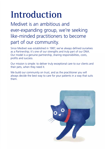## Introduction

Medivet is an ambitious and ever-expanding group, we're seeking like-minded practitioners to become part of our community.

Since Medivet was established in 1987, we've always defined ourselves as a Partnership; it's one of our strengths and truly part of our DNA. Our model is a genuine partnership, sharing responsibilities, costs, profits and success.

Our mission is simple: to deliver truly exceptional care to our clients and their pets, when they need it.

We build our community on trust, and as the practitioner you will always decide the best way to care for your patients in a way that suits them.

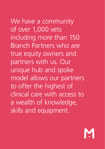We have a community of over 1,000 vets

including more than 150 Branch Partners who are true equity owners and partners with us. Our unique hub and spoke model allows our partners to offer the highest of clinical care with access to a wealth of knowledge, skills and equipment.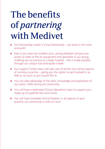### The benefits of *partnering* with Medivet

- $\triangleright$  Our Partnership model is a true Partnership we share in the costs and profit
- Even if you have the smallest clinic, joining Medivet will give you access to state of the art equipment and specialists in our group, enabling you to practice as a large hospital – this is made possible through our unique hub-and-spoke model
- ▶ Our Support Centre team will take care of all the non-clinical aspects of running a practice – giving you the option to get involved in as little or as much as you would like to
- You can take advantage of the skills, knowledge and experience of our entire 1,000-strong vet community
- You will have a dedicated Clinical Operations team to support you made up of qualified vets and nurses
- ▶ You will have complete clinical freedom in all aspects of your practice, our community is built on trust.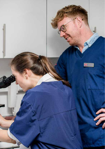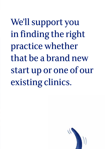We'll support you in finding the right practice whether that be a brand new start up or one of our existing clinics.

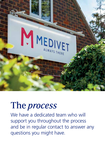

### The *process*

We have a dedicated team who will support you throughout the process and be in regular contact to answer any questions you might have.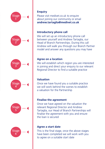

#### **Enquiry**

Please visit medivet.co.uk to enquire about joining our community or email **andrew.tartaglia@medivet.co.uk**

#### **Introductory phone call**

We will set up an introductory phone call between yourself and Andrew Tartaglia, our Head of Branch Partnerships. During this call Andrew will walk you through our Branch Partner model and answer any questions you may have

#### **Agree on a location**

We will establish which region you are interested in joining and direct your enquiry to our relevant Regional Director to find a suitable practice

#### **Valuation**

Once we have found you a suitable practice we will work behind the scenes to establish a valuation for the Partnership

#### **Finalise the agreement**

Once we have agreed on the valuation the relevant Regional Director and Andrew Tartaglia, our Head of Branch Partnerships will finalise the agreement with you and ensure the loan is secured

#### **Agree a start date**

This is the final stage, once the above stages have been completed we will work with you to agree on a suitable start date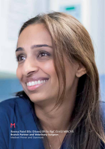

Reena Patel BSc (Hons) BVSc PgC (SAS) MRCVS **Branch Partner and Veterinary Surgeon** Medivet Pinner and Stanmore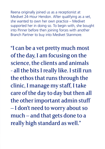Reena originally joined us as a receptionist at Medivet 24-Hour Hendon. After qualifying as a vet, she wanted to own her own practice – Medivet supported her in doing so. To begin with, she bought into Pinner before then joining forces with another Branch Partner to buy into Medivet Stanmore.

"I can be a vet pretty much most of the day, I am focusing on the science, the clients and animals - all the bits I really like. I still run the ethos that runs through the clinic, I manage my staff, I take care of the day to day but then all the other important admin stuff – I don't need to worry about so much – and that gets done to a really high standard as well."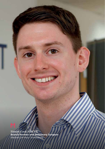Simon Cook MRCVS **Branch Partner and Veterinary Surgeon** Medivet 24-Hour Shrewsbury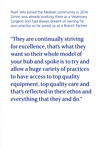Pearl Vets joined the Medivet community in 2016. Simon was already working there as a Veterinary Surgeon and had always dreamt of owning his own practice so he joined us as a Branch Partner.

"They are continually striving for excellence, that's what they want so their whole model of your hub and spoke is to try and allow a huge variety of practices to have access to top quality equipment, top quality care and that's reflected in their ethos and everything that they and do."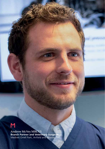

Andrew McVey MRCVS **Branch Partner and Veterinary Surgeon** Medivet Orrell Park, Anfield and Mossley Hill

 $\left( \bullet \right)$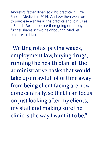Andrew's father Bryan sold his practice in Orrell Park to Medivet in 2014. Andrew then went on to purchase a share in the practice and join us as a Branch Partner before then going on to buy further shares in two neighbouring Medivet practices in Liverpool.

"Writing rotas, paying wages, employment law, buying drugs, running the health plan, all the administrative tasks that would take up an awful lot of time away from being client facing are now done centrally, so that I can focus on just looking after my clients, my staff and making sure the clinic is the way I want it to be."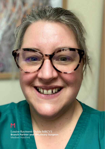



Louise Rayment-Dyble MRCVS **Branch Partner and Veterinary Surgeon** Medivet Horsford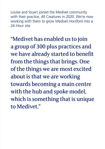Louise and Stuart joined the Medivet community with their practice, All Creatures in 2020. We're now working with them to grow Medivet Horsford into a 24-Hour site.

"Medivet has enabled us to join a group of 300 plus practices and we have already started to benefit from the things that brings. One of the things we are most excited about is that we are working towards becoming a main centre with the hub and spoke model, which is something that is unique to Medivet."